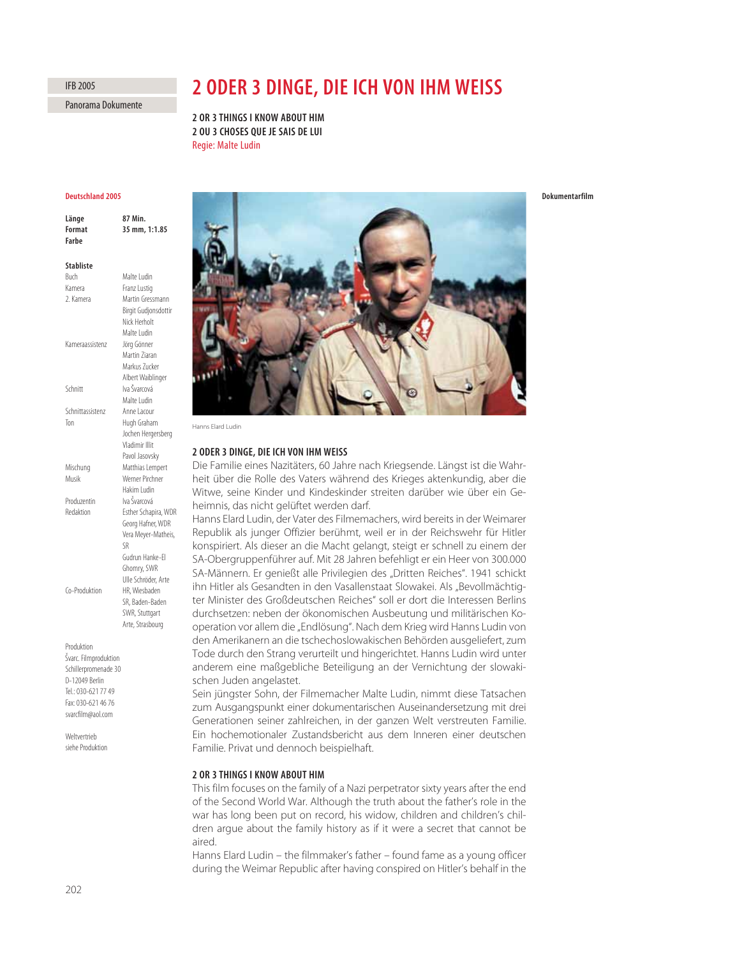202

Panorama Dokumente

IFB 2005

# **2 ODER 3 DINGE, DIE ICH VON IHM WEISS**

**2 OR 3 THINGS I KNOW ABOUT HIM 2 OU 3 CHOSES QUE JE SAIS DE LUI** Regie: Malte Ludin

# **Deutschland 2005**

**Länge 87 Min.**

| Format<br>Farbe  | 35 mm, 1:1.85             |
|------------------|---------------------------|
| <b>Stabliste</b> |                           |
| Buch             | Malte Ludin               |
| Kamera           | Franz Lustig              |
| 2. Kamera        | Martin Gressmann          |
|                  | Birgit Gudjonsdottir      |
|                  | Nick Herholt              |
|                  | Malte Ludin               |
| Kameraassistenz  | Jörg Gönner               |
|                  | Martin Ziaran             |
|                  | Markus Zucker             |
|                  | Albert Waiblinger         |
| Schnitt          | Iva Švarcová              |
|                  | Malte Ludin               |
| Schnittassistenz | Anne Lacour               |
| Ton              | Hugh Graham               |
|                  | Jochen Hergersberg        |
|                  | Vladimir Illit            |
|                  | Pavol Jasovsky            |
| Mischung         | Matthias Lempert          |
| Musik            | Werner Pirchner           |
|                  | Hakim Ludin               |
| Produzentin      | Iva Švarcová              |
| Redaktion        | Esther Schapira, WDR      |
|                  | Georg Hafner, WDR         |
|                  | Vera Meyer-Matheis,<br>SR |
|                  | Gudrun Hanke-Fl           |
|                  | Ghomry, SWR               |
|                  | Ulle Schröder, Arte       |
| Co-Produktion    | HR, Wiesbaden             |
|                  | SR, Baden-Baden           |
|                  | SWR, Stuttgart            |
|                  | Arte, Strasbourg          |
|                  |                           |
| Produktion       |                           |

Švarc. Filmproduktion Schillerpromenade 30 D-12049 Berlin Tel.: 030-621 77 49 Fax: 030-621 46 76 svarcfilm@aol.com

**Weltvertrieb** siehe Produktion



Hanns Elard Ludin

## **2 ODER 3 DINGE, DIE ICH VON IHM WEISS**

Die Familie eines Nazitäters, 60 Jahre nach Kriegsende. Längst ist die Wahrheit über die Rolle des Vaters während des Krieges aktenkundig, aber die Witwe, seine Kinder und Kindeskinder streiten darüber wie über ein Geheimnis, das nicht gelüftet werden darf.

Hanns Elard Ludin, der Vater des Filmemachers, wird bereits in der Weimarer Republik als junger Offizier berühmt, weil er in der Reichswehr für Hitler konspiriert. Als dieser an die Macht gelangt, steigt er schnell zu einem der SA-Obergruppenführer auf. Mit 28 Jahren befehligt er ein Heer von 300.000 SA-Männern. Er genießt alle Privilegien des "Dritten Reiches". 1941 schickt ihn Hitler als Gesandten in den Vasallenstaat Slowakei. Als "Bevollmächtigter Minister des Großdeutschen Reiches" soll er dort die Interessen Berlins durchsetzen: neben der ökonomischen Ausbeutung und militärischen Kooperation vor allem die "Endlösung". Nach dem Krieg wird Hanns Ludin von den Amerikanern an die tschechoslowakischen Behörden ausgeliefert, zum Tode durch den Strang verurteilt und hingerichtet. Hanns Ludin wird unter anderem eine maßgebliche Beteiligung an der Vernichtung der slowakischen Juden angelastet.

Sein jüngster Sohn, der Filmemacher Malte Ludin, nimmt diese Tatsachen zum Ausgangspunkt einer dokumentarischen Auseinandersetzung mit drei Generationen seiner zahlreichen, in der ganzen Welt verstreuten Familie. Ein hochemotionaler Zustandsbericht aus dem Inneren einer deutschen Familie. Privat und dennoch beispielhaft.

# **2 OR 3 THINGS I KNOW ABOUT HIM**

This film focuses on the family of a Nazi perpetrator sixty years after the end of the Second World War. Although the truth about the father's role in the war has long been put on record, his widow, children and children's children argue about the family history as if it were a secret that cannot be aired.

Hanns Elard Ludin – the filmmaker's father – found fame as a young officer during the Weimar Republic after having conspired on Hitler's behalf in the

**Dokumentarfilm**